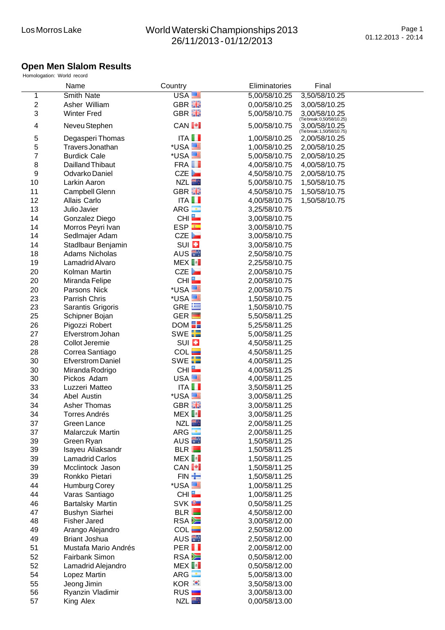## **Open Men Slalom Results**

|                  | Name                                 | Country                           | Eliminatories                  | Final                                       |
|------------------|--------------------------------------|-----------------------------------|--------------------------------|---------------------------------------------|
| 1                | Smith Nate                           | USA <sup>E</sup>                  | 5,00/58/10.25                  | 3,50/58/10.25                               |
| $\boldsymbol{2}$ | Asher William                        | GBR <b>He</b>                     | 0,00/58/10.25                  | 3,00/58/10.25                               |
| 3                | <b>Winter Fred</b>                   | GBR <b>He</b>                     | 5,00/58/10.75                  | 3,00/58/10.25<br>(Tiebreak: 0,50/58/10.25)  |
| 4                | Neveu Stephen                        | CAN <sup>I+</sup>                 | 5,00/58/10.75                  | 3,00/58/10.25<br>(Tie break: 1,50/58/10.75) |
| 5                | Degasperi Thomas                     | $ITA$ $I$                         | 1,00/58/10.25                  | 2,00/58/10.25                               |
| 5                | Travers Jonathan                     | *USA                              | 1,00/58/10.25                  | 2,00/58/10.25                               |
| 7                | <b>Burdick Cale</b>                  | *USA <sup>ES</sup>                | 5,00/58/10.75                  | 2,00/58/10.25                               |
| 8                | Dailland Thibaut                     | FRA <b>I</b>                      | 4,00/58/10.75                  | 4,00/58/10.75                               |
| 9                | Odvarko Daniel                       | CZE                               | 4,50/58/10.75                  | 2,00/58/10.75                               |
| 10               | Larkin Aaron                         | NZLE <sub>1</sub>                 | 5,00/58/10.75                  | 1,50/58/10.75                               |
| 11               | Campbell Glenn                       | GBR <b>He</b>                     | 4,50/58/10.75                  | 1,50/58/10.75                               |
| 12               | Allais Carlo                         | $ITA$ $\blacksquare$              | 4,00/58/10.75                  | 1,50/58/10.75                               |
| 13               | Julio Javier                         | ARG <b>i</b>                      | 3,25/58/10.75                  |                                             |
| 14               | Gonzalez Diego                       | CHI                               | 3,00/58/10.75                  |                                             |
| 14               | Morros Peyri Ivan                    | <b>ESP</b>                        | 3,00/58/10.75                  |                                             |
| 14               | Sedlmajer Adam                       | CZE                               | 3,00/58/10.75                  |                                             |
| 14               | Stadlbaur Benjamin                   | $SUI$ $\overline{II}$             | 3,00/58/10.75                  |                                             |
| 18               | <b>Adams Nicholas</b>                | AUS <b>N</b>                      | 2,50/58/10.75                  |                                             |
| 19               | Lamadrid Alvaro                      | MEX <sup>I</sup>                  | 2,25/58/10.75                  |                                             |
| 20               | Kolman Martin                        | CZE                               | 2,00/58/10.75                  |                                             |
| 20               | Miranda Felipe                       | CHI                               | 2,00/58/10.75                  |                                             |
| 20               | Parsons Nick                         | *USA <sup>ES</sup>                | 2,00/58/10.75                  |                                             |
| 23               | Parrish Chris                        | *USA <sup>ES</sup>                | 1,50/58/10.75                  |                                             |
| 23               | Sarantis Grigoris                    | GRE $E$                           | 1,50/58/10.75                  |                                             |
| 25               | Schipner Bojan                       | $GER$ $\Box$                      | 5,50/58/11.25                  |                                             |
| 26               | Pigozzi Robert                       | DOM <b>EE</b>                     | 5,25/58/11.25                  |                                             |
| 27               | Efverstrom Johan                     | SWE <sup>H</sup>                  | 5,00/58/11.25                  |                                             |
| 28               | Collot Jeremie                       | SUI <b>E</b>                      | 4,50/58/11.25                  |                                             |
| 28               | Correa Santiago                      | COL                               | 4,50/58/11.25                  |                                             |
| 30               | <b>Efverstrom Daniel</b>             | SWE <b>FE</b>                     | 4,00/58/11.25                  |                                             |
| 30               | Miranda Rodrigo                      | CHI                               | 4,00/58/11.25                  |                                             |
| 30               | Pickos Adam                          | USA <sup>E</sup>                  | 4,00/58/11.25                  |                                             |
| 33               | Luzzeri Matteo                       | $ITA$ $\blacksquare$<br>*USA      | 3,50/58/11.25                  |                                             |
| 34               | Abel Austin                          |                                   | 3,00/58/11.25                  |                                             |
| 34<br>34         | Asher Thomas<br><b>Torres Andrés</b> | GBR <b>He</b><br>MEX <sup>[</sup> | 3,00/58/11.25<br>3,00/58/11.25 |                                             |
| 37               | Green Lance                          | <b>NZL</b>                        | 2,00/58/11.25                  |                                             |
| 37               | Malarczuk Martin                     | $ARG -$                           | 2,00/58/11.25                  |                                             |
| 39               | Green Ryan                           | AUS <sup>1</sup>                  | 1,50/58/11.25                  |                                             |
| 39               | Isayeu Aliaksandr                    | BLR                               | 1,50/58/11.25                  |                                             |
| 39               | <b>Lamadrid Carlos</b>               | MEX                               | 1,50/58/11.25                  |                                             |
| 39               | Mcclintock Jason                     | CAN <b>[+]</b>                    | 1,50/58/11.25                  |                                             |
| 39               | Ronkko Pietari                       | FIN +                             | 1,50/58/11.25                  |                                             |
| 44               | Humburg Corey                        | *USA                              | 1,00/58/11.25                  |                                             |
| 44               | Varas Santiago                       | CHI                               | 1,00/58/11.25                  |                                             |
| 46               | <b>Bartalsky Martin</b>              | SVK <sup>B</sup>                  | 0,50/58/11.25                  |                                             |
| 47               | Bushyn Siarhei                       | BLR                               | 4,50/58/12.00                  |                                             |
| 48               | <b>Fisher Jared</b>                  | <b>RSA</b>                        | 3,00/58/12.00                  |                                             |
| 49               | Arango Alejandro                     | COL                               | 2,50/58/12.00                  |                                             |
| 49               | <b>Briant Joshua</b>                 | AUS <sup>I</sup>                  | 2,50/58/12.00                  |                                             |
| 51               | Mustafa Mario Andrés                 | PER <sup>II</sup>                 | 2,00/58/12.00                  |                                             |
| 52               | Fairbank Simon                       | RSA <b>E</b>                      | 0,50/58/12.00                  |                                             |
| 52               | Lamadrid Alejandro                   | $MEX$ $\blacksquare$              | 0,50/58/12.00                  |                                             |
| 54               | Lopez Martin                         | ARG <sup>1</sup>                  | 5,00/58/13.00                  |                                             |
| 55               | Jeong Jimin                          | KOR <sup>3</sup>                  | 3,50/58/13.00                  |                                             |
| 56               | Ryanzin Vladimir                     | RUS                               | 3,00/58/13.00                  |                                             |
| 57               | King Alex                            | <b>NZL</b>                        | 0,00/58/13.00                  |                                             |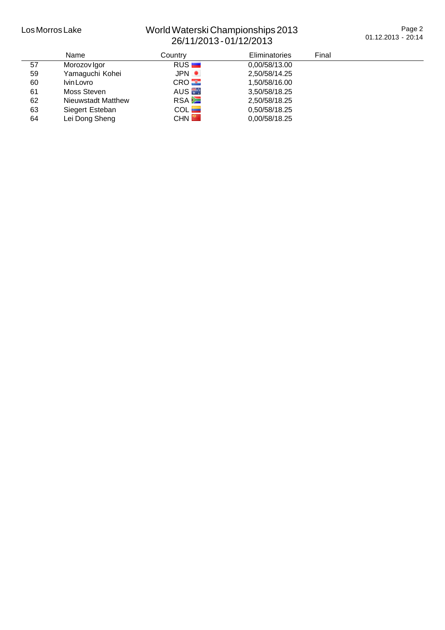## Los Morros Lake World Waterski Championships 2013 26/11/2013 - 01/12/2013

Page 2 01.12.2013 - 20:14

|    | <b>Name</b>               | Country          | Eliminatories | Final |
|----|---------------------------|------------------|---------------|-------|
| 57 | Morozov Igor              | RUS              | 0,00/58/13.00 |       |
| 59 | Yamaguchi Kohei           | JPN •            | 2,50/58/14.25 |       |
| 60 | Ivin Lovro                | CRO              | 1.50/58/16.00 |       |
| 61 | Moss Steven               | AUS <sup>E</sup> | 3.50/58/18.25 |       |
| 62 | <b>Nieuwstadt Matthew</b> | <b>RSA</b>       | 2,50/58/18.25 |       |
| 63 | Siegert Esteban           | COL              | 0.50/58/18.25 |       |
| 64 | Lei Dong Sheng            | CHN <sup>E</sup> | 0,00/58/18.25 |       |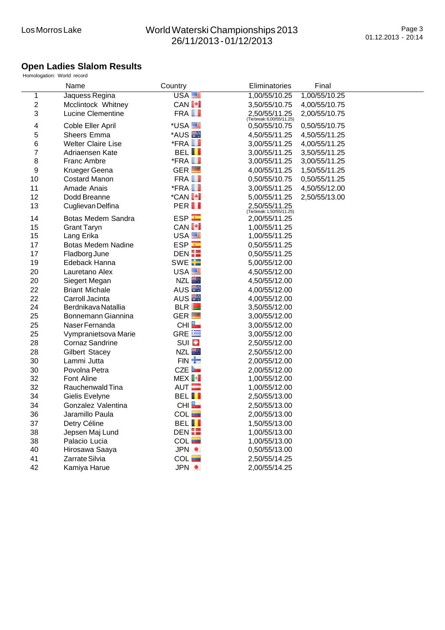#### **Open Ladies Slalom Results**

|              | Homologation: World record |                        |                                            |               |  |
|--------------|----------------------------|------------------------|--------------------------------------------|---------------|--|
|              | Name                       | Country                | Eliminatories                              | Final         |  |
| 1            | Jaquess Regina             | USA                    | 1,00/55/10.25                              | 1,00/55/10.25 |  |
| $\mathbf{2}$ | Mcclintock Whitney         | CAN <sup>I+</sup>      | 3,50/55/10.75                              | 4,00/55/10.75 |  |
| 3            | Lucine Clementine          | FRA <b>I</b>           | 2,50/55/11.25<br>(Tiebreak: 6,00/55/11.25) | 2,00/55/10.75 |  |
| 4            | Coble Eller April          | *USA <sup>EL</sup>     | 0,50/55/10.75                              | 0,50/55/10.75 |  |
| 5            | Sheers Emma                | *AUS <sup>E</sup>      | 4,50/55/11.25                              | 4,50/55/11.25 |  |
| 6            | <b>Welter Claire Lise</b>  | $*$ FRA $\blacksquare$ | 3,00/55/11.25                              | 4,00/55/11.25 |  |
| 7            | Adriaensen Kate            | <b>BELII</b>           | 3,00/55/11.25                              | 3,50/55/11.25 |  |
| 8            | <b>Franc Ambre</b>         | $*$ FRA $\blacksquare$ | 3,00/55/11.25                              | 3,00/55/11.25 |  |
| 9            | Krueger Geena              | $GER$ $\Box$           | 4,00/55/11.25                              | 1,50/55/11.25 |  |
| 10           | <b>Costard Manon</b>       | FRA <b>II</b>          | 0,50/55/10.75                              | 0,50/55/11.25 |  |
| 11           | Amade Anais                | $*$ FRA $\blacksquare$ | 3,00/55/11.25                              | 4,50/55/12.00 |  |
| 12           | Dodd Breanne               | *CAN <sup>I+</sup>     | 5,00/55/11.25                              | 2,50/55/13.00 |  |
| 13           | Cuglievan Delfina          | PER <sub>II</sub>      | 2,50/55/11.25                              |               |  |
| 14           | Botas Medem Sandra         | <b>ESP</b>             | 2,00/55/11.25                              |               |  |
| 15           | <b>Grant Taryn</b>         | <b>CANI+I</b>          | 1,00/55/11.25                              |               |  |
| 15           | Lang Erika                 | USA <sup>E</sup>       | 1,00/55/11.25                              |               |  |
| 17           | <b>Botas Medem Nadine</b>  | <b>ESP</b>             | 0,50/55/11.25                              |               |  |
| 17           | Fladborg June              | DEN H                  | 0,50/55/11.25                              |               |  |
| 19           | Edeback Hanna              | SWE <b>EE</b>          | 5,00/55/12.00                              |               |  |
| 20           | Lauretano Alex             | USA <sup>E</sup>       | 4,50/55/12.00                              |               |  |
| 20           | Siegert Megan              | <b>NZL</b>             | 4,50/55/12.00                              |               |  |
| 22           | <b>Briant Michale</b>      | AUS <sup>E</sup>       | 4,00/55/12.00                              |               |  |
| 22           | Carroll Jacinta            | AUS <sup>E</sup>       | 4,00/55/12.00                              |               |  |
| 24           | Berdnikava Natallia        | BLR                    | 3,50/55/12.00                              |               |  |
| 25           | Bonnemann Giannina         | $GER$ $\Box$           | 3,00/55/12.00                              |               |  |
| 25           | Naser Fernanda             | CHI                    | 3,00/55/12.00                              |               |  |
| 25           | Vympranietsova Marie       | GRE $E$                | 3,00/55/12.00                              |               |  |
| 28           | <b>Cornaz Sandrine</b>     | SUI <b>EI</b>          | 2,50/55/12.00                              |               |  |
| 28           | <b>Gilbert Stacey</b>      | <b>NZL</b>             | 2,50/55/12.00                              |               |  |
| 30           | Lammi Jutta                | $FIN -$                | 2,00/55/12.00                              |               |  |
| 30           | Povolna Petra              | CZE                    | 2,00/55/12.00                              |               |  |
| 32           | Font Aline                 | MEX <sup>I</sup>       | 1,00/55/12.00                              |               |  |
| 32           | Rauchenwald Tina           | AUT $\Box$             | 1,00/55/12.00                              |               |  |
| 34           | Gielis Evelyne             | <b>BELII</b>           | 2,50/55/13.00                              |               |  |
| 34           | Gonzalez Valentina         | CHI <b>L</b>           | 2,50/55/13.00                              |               |  |
| 36           | Jaramillo Paula            | $COL$ $\blacksquare$   | 2,00/55/13.00                              |               |  |
| 37           | Detry Céline               | <b>BELII</b>           | 1,50/55/13.00                              |               |  |
| 38           | Jepsen Maj Lund            | DEN EE                 | 1,00/55/13.00                              |               |  |
| 38           | Palacio Lucia              | COL                    | 1,00/55/13.00                              |               |  |
| 40           | Hirosawa Saaya             | JPN <b>O</b>           | 0,50/55/13.00                              |               |  |
| 41           | Zarrate Silvia             | $COL$ $\blacksquare$   | 2,50/55/14.25                              |               |  |
| 42           | Kamiya Harue               | JPN <b>O</b>           | 2,00/55/14.25                              |               |  |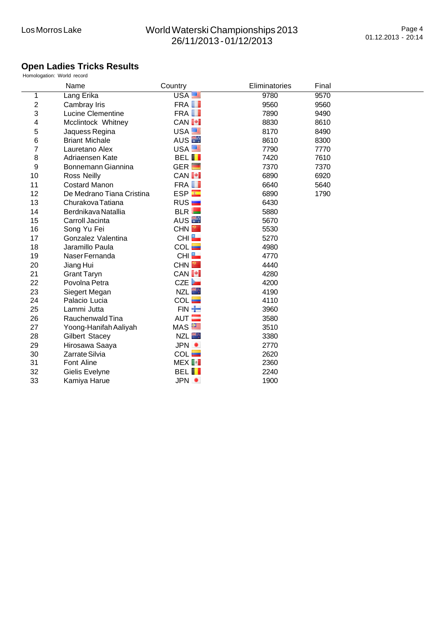## **Open Ladies Tricks Results**

|                | Homologation: World record |                         |                      |       |  |
|----------------|----------------------------|-------------------------|----------------------|-------|--|
|                | Name                       | Country                 | <b>Eliminatories</b> | Final |  |
| 1              | Lang Erika                 | USA <sup>E</sup>        | 9780                 | 9570  |  |
| $\overline{2}$ | Cambray Iris               | FRA <b>I</b>            | 9560                 | 9560  |  |
| 3              | <b>Lucine Clementine</b>   | FRA <b>I</b>            | 7890                 | 9490  |  |
| 4              | Mcclintock Whitney         | <b>CANI+I</b>           | 8830                 | 8610  |  |
| 5              | Jaquess Regina             | USA <sup>ER</sup>       | 8170                 | 8490  |  |
| 6              | <b>Briant Michale</b>      | AUS <b>External AUS</b> | 8610                 | 8300  |  |
| 7              | Lauretano Alex             | USA <sup>E</sup>        | 7790                 | 7770  |  |
| 8              | Adriaensen Kate            | <b>BELII</b>            | 7420                 | 7610  |  |
| 9              | Bonnemann Giannina         | GER $\blacksquare$      | 7370                 | 7370  |  |
| 10             | <b>Ross Neilly</b>         | CAN <sup>I+</sup>       | 6890                 | 6920  |  |
| 11             | <b>Costard Manon</b>       | FRA <b>II</b>           | 6640                 | 5640  |  |
| 12             | De Medrano Tiana Cristina  | ESP                     | 6890                 | 1790  |  |
| 13             | Churakova Tatiana          | RUS <sub>I</sub>        | 6430                 |       |  |
| 14             | Berdnikava Natallia        | BLR                     | 5880                 |       |  |
| 15             | Carroll Jacinta            | AUS <sup>E</sup>        | 5670                 |       |  |
| 16             | Song Yu Fei                | <b>CHN</b>              | 5530                 |       |  |
| 17             | Gonzalez Valentina         | CHI <b>L</b>            | 5270                 |       |  |
| 18             | Jaramillo Paula            | COL                     | 4980                 |       |  |
| 19             | Naser Fernanda             | CHI <sup>L</sup>        | 4770                 |       |  |
| 20             | Jiang Hui                  | <b>CHN</b>              | 4440                 |       |  |
| 21             | <b>Grant Taryn</b>         | <b>CAN I*I</b>          | 4280                 |       |  |
| 22             | Povolna Petra              | CZE                     | 4200                 |       |  |
| 23             | Siegert Megan              | NZL <b>Ext</b>          | 4190                 |       |  |
| 24             | Palacio Lucia              | COL                     | 4110                 |       |  |
| 25             | Lammi Jutta                | $FIN +$                 | 3960                 |       |  |
| 26             | Rauchenwald Tina           | AUT $\equiv$            | 3580                 |       |  |
| 27             | Yoong-Hanifah Aaliyah      | MAS                     | 3510                 |       |  |
| 28             | Gilbert Stacey             | NZL <b>Ext</b>          | 3380                 |       |  |
| 29             | Hirosawa Saaya             | JPN ·                   | 2770                 |       |  |
| 30             | Zarrate Silvia             | COL                     | 2620                 |       |  |
| 31             | <b>Font Aline</b>          | MEX <sup>1</sup>        | 2360                 |       |  |
| 32             | Gielis Evelyne             | <b>BELII</b>            | 2240                 |       |  |
| 33             | Kamiya Harue               | JPN O                   | 1900                 |       |  |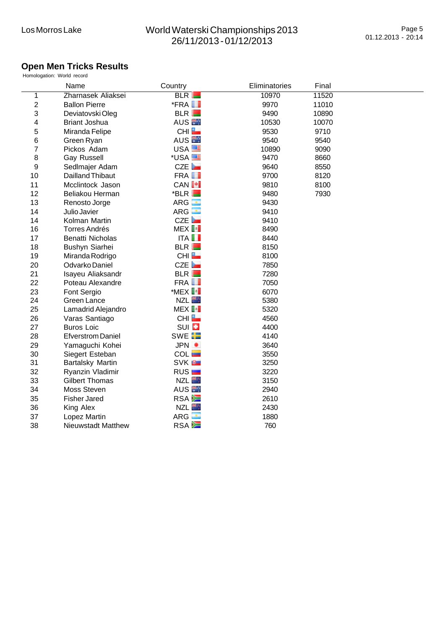#### **Open Men Tricks Results**

|                | Homologation: World record |                        |               |       |  |
|----------------|----------------------------|------------------------|---------------|-------|--|
|                | Name                       | Country                | Eliminatories | Final |  |
| 1              | Zharnasek Aliaksei         | BLR                    | 10970         | 11520 |  |
| $\overline{2}$ | <b>Ballon Pierre</b>       | $*$ FRA $\blacksquare$ | 9970          | 11010 |  |
| 3              | Deviatovski Oleg           | BLR                    | 9490          | 10890 |  |
| 4              | <b>Briant Joshua</b>       | AUS <b>N</b>           | 10530         | 10070 |  |
| 5              | Miranda Felipe             | CHI <b>L</b>           | 9530          | 9710  |  |
| 6              | Green Ryan                 | AUS <sup>E</sup>       | 9540          | 9540  |  |
| 7              | Pickos Adam                | USA <sup>ES</sup>      | 10890         | 9090  |  |
| 8              | <b>Gay Russell</b>         | *USA <sup>EE</sup>     | 9470          | 8660  |  |
| 9              | Sedlmajer Adam             | CZE                    | 9640          | 8550  |  |
| 10             | Dailland Thibaut           | FRA <b>II</b>          | 9700          | 8120  |  |
| 11             | Mcclintock Jason           | <b>CANI+I</b>          | 9810          | 8100  |  |
| 12             | Beliakou Herman            | $*$ BLR $\blacksquare$ | 9480          | 7930  |  |
| 13             | Renosto Jorge              | ARG <b>B</b>           | 9430          |       |  |
| 14             | Julio Javier               | ARG <b>B</b>           | 9410          |       |  |
| 14             | Kolman Martin              | CZE                    | 9410          |       |  |
| 16             | <b>Torres Andrés</b>       | MEX <sup>[:]</sup>     | 8490          |       |  |
| 17             | Benatti Nicholas           | $ITA$ $I$              | 8440          |       |  |
| 18             | Bushyn Siarhei             | BLR                    | 8150          |       |  |
| 19             | Miranda Rodrigo            | CHI                    | 8100          |       |  |
| 20             | Odvarko Daniel             | CZE                    | 7850          |       |  |
| 21             | Isayeu Aliaksandr          | BLR                    | 7280          |       |  |
| 22             | Poteau Alexandre           | FRA <b>II</b>          | 7050          |       |  |
| 23             | Font Sergio                | *MEX <sup>I</sup>      | 6070          |       |  |
| 24             | Green Lance                | <b>NZL</b>             | 5380          |       |  |
| 25             | Lamadrid Alejandro         | MEX <sup>I</sup>       | 5320          |       |  |
| 26             | Varas Santiago             | CHI                    | 4560          |       |  |
| 27             | <b>Buros Loic</b>          | SUI <sup>D</sup>       | 4400          |       |  |
| 28             | <b>Efverstrom Daniel</b>   | SWE <b>E</b>           | 4140          |       |  |
| 29             | Yamaguchi Kohei            | JPN O                  | 3640          |       |  |
| 30             | Siegert Esteban            | COL                    | 3550          |       |  |
| 31             | Bartalsky Martin           | SVK <b>B</b>           | 3250          |       |  |
| 32             | Ryanzin Vladimir           | RUS <sub>L</sub>       | 3220          |       |  |
| 33             | <b>Gilbert Thomas</b>      | <b>NZL</b>             | 3150          |       |  |
| 34             | Moss Steven                | AUS <b>N</b>           | 2940          |       |  |
| 35             | <b>Fisher Jared</b>        | RSA <b>E</b>           | 2610          |       |  |
| 36             | King Alex                  | <b>NZL</b>             | 2430          |       |  |
| 37             | Lopez Martin               | $ARG$ $\blacksquare$   | 1880          |       |  |
| 38             | <b>Nieuwstadt Matthew</b>  | RSA <b>E</b>           | 760           |       |  |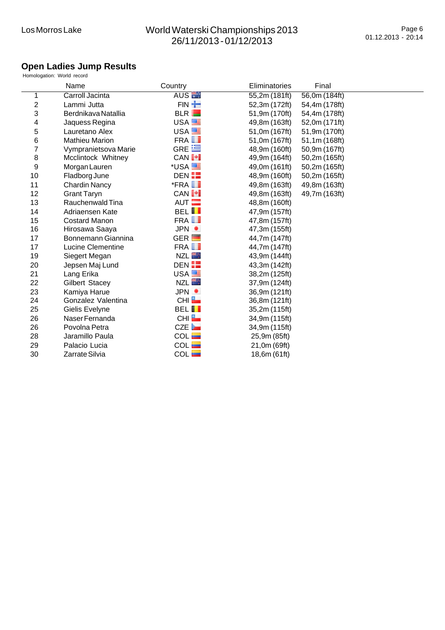## **Open Ladies Jump Results**

|                           | Homologation: World record |                        |               |               |  |
|---------------------------|----------------------------|------------------------|---------------|---------------|--|
|                           | Name                       | Country                | Eliminatories | Final         |  |
| 1                         | Carroll Jacinta            | AUS <sup>E</sup>       | 55,2m (181ft) | 56,0m (184ft) |  |
| $\boldsymbol{2}$          | Lammi Jutta                | FIN <b>T</b>           | 52,3m (172ft) | 54,4m (178ft) |  |
| $\ensuremath{\mathsf{3}}$ | Berdnikava Natallia        | BLR                    | 51,9m (170ft) | 54,4m (178ft) |  |
| 4                         | Jaquess Regina             | USA <sup>E</sup>       | 49,8m (163ft) | 52,0m (171ft) |  |
| 5                         | Lauretano Alex             | USA <sup>EE</sup>      | 51,0m (167ft) | 51,9m (170ft) |  |
| 6                         | <b>Mathieu Marion</b>      | FRA <b>I</b>           | 51,0m (167ft) | 51,1m (168ft) |  |
| 7                         | Vympranietsova Marie       | GRE $\equiv$           | 48,9m (160ft) | 50,9m (167ft) |  |
| 8                         | Mcclintock Whitney         | CAN <sup>I+</sup>      | 49,9m (164ft) | 50,2m (165ft) |  |
| 9                         | Morgan Lauren              | *USA <sup>EE</sup>     | 49,0m (161ft) | 50,2m (165ft) |  |
| 10                        | Fladborg June              | DEN HE                 | 48,9m (160ft) | 50,2m (165ft) |  |
| 11                        | <b>Chardin Nancy</b>       | $*$ FRA $\blacksquare$ | 49,8m (163ft) | 49,8m (163ft) |  |
| 12                        | <b>Grant Taryn</b>         | CAN <sup>[+]</sup>     | 49,8m (163ft) | 49,7m (163ft) |  |
| 13                        | Rauchenwald Tina           | AUT $\blacksquare$     | 48,8m (160ft) |               |  |
| 14                        | Adriaensen Kate            | <b>BELII</b>           | 47,9m (157ft) |               |  |
| 15                        | <b>Costard Manon</b>       | FRA <b>II</b>          | 47,8m (157ft) |               |  |
| 16                        | Hirosawa Saaya             | JPN ·                  | 47,3m (155ft) |               |  |
| 17                        | Bonnemann Giannina         | $GER$ $\Box$           | 44,7m (147ft) |               |  |
| 17                        | <b>Lucine Clementine</b>   | FRA <b>I</b>           | 44,7m (147ft) |               |  |
| 19                        | Siegert Megan              | <b>NZL</b>             | 43,9m (144ft) |               |  |
| 20                        | Jepsen Maj Lund            | DEN EE                 | 43,3m (142ft) |               |  |
| 21                        | Lang Erika                 | USA <b>EL</b>          | 38,2m (125ft) |               |  |
| 22                        | <b>Gilbert Stacey</b>      | <b>NZL</b>             | 37,9m (124ft) |               |  |
| 23                        | Kamiya Harue               | JPN ·                  | 36,9m (121ft) |               |  |
| 24                        | Gonzalez Valentina         | CHI <sup>L</sup>       | 36,8m (121ft) |               |  |
| 25                        | Gielis Evelyne             | <b>BELII</b>           | 35,2m (115ft) |               |  |
| 26                        | Naser Fernanda             | CHI <b>L</b>           | 34,9m (115ft) |               |  |
| 26                        | Povolna Petra              | CZE                    | 34,9m (115ft) |               |  |
| 28                        | Jaramillo Paula            | $COL$ $\blacksquare$   | 25,9m (85ft)  |               |  |
| 29                        | Palacio Lucia              | COL                    | 21,0m (69ft)  |               |  |
| 30                        | Zarrate Silvia             | COL                    | 18,6m (61ft)  |               |  |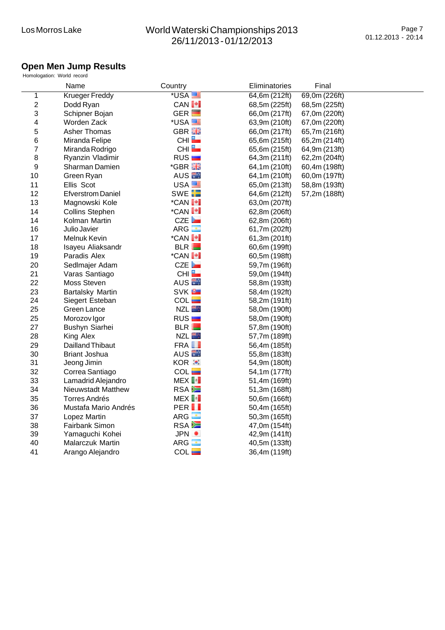#### **Open Men Jump Results**

|                | Homologation: World record |                    |               |               |  |
|----------------|----------------------------|--------------------|---------------|---------------|--|
|                | Name                       | Country            | Eliminatories | Final         |  |
| 1              | <b>Krueger Freddy</b>      | *USA               | 64,6m (212ft) | 69,0m (226ft) |  |
| $\overline{c}$ | Dodd Ryan                  | CAN <sup>I+</sup>  | 68,5m (225ft) | 68,5m (225ft) |  |
| 3              | Schipner Bojan             | $GER$ $\Box$       | 66,0m (217ft) | 67,0m (220ft) |  |
| 4              | Worden Zack                | *USA <sup>EE</sup> | 63,9m (210ft) | 67,0m (220ft) |  |
| 5              | <b>Asher Thomas</b>        | GBR <b>He</b>      | 66,0m (217ft) | 65,7m (216ft) |  |
| 6              | Miranda Felipe             | CHI                | 65,6m (215ft) | 65,2m (214ft) |  |
| 7              | Miranda Rodrigo            | CHI                | 65,6m (215ft) | 64,9m (213ft) |  |
| 8              | Ryanzin Vladimir           | RUS <sub>I</sub>   | 64,3m (211ft) | 62,2m (204ft) |  |
| 9              | Sharman Damien             | *GBR <b>Ha</b>     | 64,1m (210ft) | 60,4m (198ft) |  |
| 10             | Green Ryan                 | AUS <b>N</b>       | 64,1m (210ft) | 60,0m (197ft) |  |
| 11             | Ellis Scot                 | USA <sup>E</sup>   | 65,0m (213ft) | 58,8m (193ft) |  |
| 12             | <b>Efverstrom Daniel</b>   | SWE <b>FE</b>      | 64,6m (212ft) | 57,2m (188ft) |  |
| 13             | Magnowski Kole             | *CAN <sup>I+</sup> | 63,0m (207ft) |               |  |
| 14             | <b>Collins Stephen</b>     | *CAN <sup>I+</sup> | 62,8m (206ft) |               |  |
| 14             | Kolman Martin              | CZE                | 62,8m (206ft) |               |  |
| 16             | Julio Javier               | $ARG -$            | 61,7m (202ft) |               |  |
| 17             | Melnuk Kevin               | *CAN <sup>1</sup>  | 61,3m (201ft) |               |  |
| 18             | Isayeu Aliaksandr          | BLR                | 60,6m (199ft) |               |  |
| 19             | Paradis Alex               | *CAN <sup>I+</sup> | 60,5m (198ft) |               |  |
| 20             | Sedlmajer Adam             | CZE                | 59,7m (196ft) |               |  |
| 21             | Varas Santiago             | CHI                | 59,0m (194ft) |               |  |
| 22             | Moss Steven                | AUS <sup>E</sup>   | 58,8m (193ft) |               |  |
| 23             | <b>Bartalsky Martin</b>    | SVK <sup>B</sup>   | 58,4m (192ft) |               |  |
| 24             | Siegert Esteban            | COL                | 58,2m (191ft) |               |  |
| 25             | Green Lance                | NZL <b>Ext</b>     | 58,0m (190ft) |               |  |
| 25             | Morozov Igor               | RUS                | 58,0m (190ft) |               |  |
| 27             | Bushyn Siarhei             | BLR                | 57,8m (190ft) |               |  |
| 28             | King Alex                  | <b>NZL</b>         | 57,7m (189ft) |               |  |
| 29             | Dailland Thibaut           | FRA <b>II</b>      | 56,4m (185ft) |               |  |
| 30             | <b>Briant Joshua</b>       | AUS <sup>E</sup>   | 55,8m (183ft) |               |  |
| 31             | Jeong Jimin                | KOR <b>:</b>       | 54,9m (180ft) |               |  |
| 32             | Correa Santiago            | COL                | 54,1m (177ft) |               |  |
| 33             | Lamadrid Alejandro         | MEX <sup>I</sup>   | 51,4m (169ft) |               |  |
| 34             | Nieuwstadt Matthew         | RSA <sup>E</sup>   | 51,3m (168ft) |               |  |
| 35             | Torres Andrés              | MEX <sup>[</sup>   | 50,6m (166ft) |               |  |
| 36             | Mustafa Mario Andrés       | PER <sub>II</sub>  | 50,4m (165ft) |               |  |
| 37             | Lopez Martin               | $ARG -$            | 50,3m (165ft) |               |  |
| 38             | Fairbank Simon             | RSA <b>E</b>       | 47,0m (154ft) |               |  |
| 39             | Yamaguchi Kohei            | JPN ·              | 42,9m (141ft) |               |  |
| 40             | Malarczuk Martin           | ARG <b>I</b>       | 40,5m (133ft) |               |  |
| 41             | Arango Alejandro           | COL<br>۳           | 36,4m (119ft) |               |  |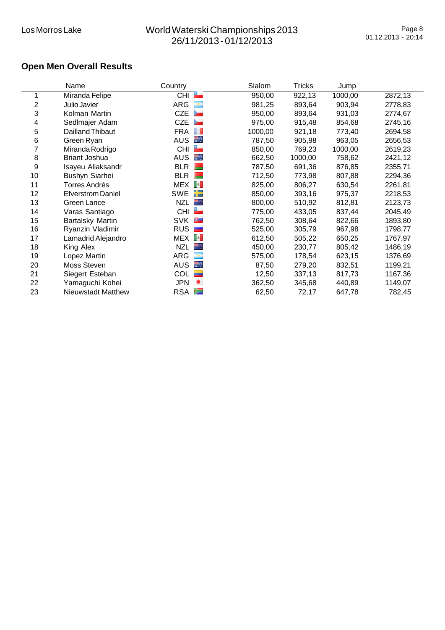# **Open Men Overall Results**

|                | Name                     | Country               | Slalom  | Tricks  | Jump    |         |
|----------------|--------------------------|-----------------------|---------|---------|---------|---------|
|                | Miranda Felipe           | $\overline{CH}$<br>a. | 950,00  | 922,13  | 1000,00 | 2872,13 |
| $\overline{c}$ | Julio Javier             | œ<br>ARG              | 981,25  | 893,64  | 903,94  | 2778,83 |
| 3              | Kolman Martin            | ►<br><b>CZE</b>       | 950,00  | 893,64  | 931,03  | 2774,67 |
| 4              | Sedlmajer Adam           | ►<br><b>CZE</b>       | 975,00  | 915,48  | 854,68  | 2745,16 |
| 5              | Dailland Thibaut         | FRA <b>I</b>          | 1000,00 | 921,18  | 773,40  | 2694,58 |
| 6              | Green Ryan               | н.<br><b>AUS</b>      | 787,50  | 905,98  | 963,05  | 2656,53 |
| 7              | Miranda Rodrigo          | Ľ<br><b>CHI</b>       | 850,00  | 769,23  | 1000,00 | 2619,23 |
| 8              | <b>Briant Joshua</b>     | ÷.<br><b>AUS</b>      | 662,50  | 1000,00 | 758,62  | 2421,12 |
| 9              | Isayeu Aliaksandr        | <b>BLR</b>            | 787,50  | 691,36  | 876,85  | 2355,71 |
| 10             | Bushyn Siarhei           | <b>BLR</b>            | 712,50  | 773,98  | 807,88  | 2294,36 |
| 11             | Torres Andrés            | MEX <sup>[</sup>      | 825,00  | 806,27  | 630,54  | 2261,81 |
| 12             | <b>Efverstrom Daniel</b> | æ<br><b>SWE</b>       | 850,00  | 393,16  | 975,37  | 2218,53 |
| 13             | Green Lance              | MĄ.<br><b>NZL</b>     | 800,00  | 510,92  | 812,81  | 2123,73 |
| 14             | Varas Santiago           | CHI                   | 775,00  | 433,05  | 837,44  | 2045,49 |
| 15             | Bartalsky Martin         | <b>SVK</b><br>œ.      | 762,50  | 308,64  | 822,66  | 1893,80 |
| 16             | Ryanzin Vladimir         | <b>RUS</b>            | 525,00  | 305,79  | 967,98  | 1798,77 |
| 17             | Lamadrid Alejandro       | MEX <sup>[:</sup>     | 612,50  | 505,22  | 650,25  | 1767,97 |
| 18             | King Alex                | <b>NZL</b><br>mą.     | 450,00  | 230,77  | 805,42  | 1486,19 |
| 19             | Lopez Martin             | ARG<br>œ,             | 575,00  | 178,54  | 623,15  | 1376,69 |
| 20             | Moss Steven              | AUS<br>н.,            | 87,50   | 279,20  | 832,51  | 1199,21 |
| 21             | Siegert Esteban          | <b>COL</b>            | 12,50   | 337,13  | 817,73  | 1167,36 |
| 22             | Yamaguchi Kohei          | <b>JPN</b><br>٠       | 362,50  | 345,68  | 440,89  | 1149,07 |
| 23             | Nieuwstadt Matthew       | RSA <b>E</b>          | 62,50   | 72,17   | 647,78  | 782,45  |